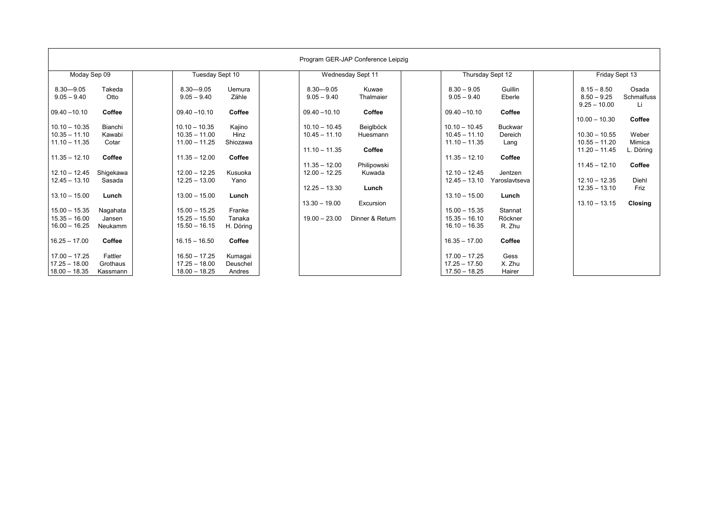| Program GER-JAP Conference Leipzig                                                       |                                                                                        |                                                             |                                                                                            |                                                                               |
|------------------------------------------------------------------------------------------|----------------------------------------------------------------------------------------|-------------------------------------------------------------|--------------------------------------------------------------------------------------------|-------------------------------------------------------------------------------|
| Moday Sep 09                                                                             | Tuesday Sept 10                                                                        | Wednesday Sept 11                                           | Thursday Sept 12                                                                           | Friday Sept 13                                                                |
| $8.30 - 9.05$<br>Takeda<br>$9.05 - 9.40$<br>Otto                                         | $8.30 - 9.05$<br>Uemura<br>Zähle<br>$9.05 - 9.40$                                      | $8.30 - 9.05$<br>Kuwae<br>Thalmaier<br>$9.05 - 9.40$        | $8.30 - 9.05$<br>Guillin<br>$9.05 - 9.40$<br>Eberle                                        | $8.15 - 8.50$<br>Osada<br>Schmalfuss<br>$8.50 - 9.25$<br>$9.25 - 10.00$<br>Li |
| Coffee<br>$09.40 - 10.10$                                                                | $09.40 - 10.10$<br>Coffee                                                              | Coffee<br>$09.40 - 10.10$                                   | Coffee<br>$09.40 - 10.10$                                                                  | $10.00 - 10.30$<br>Coffee                                                     |
| $10.10 - 10.35$<br>Bianchi<br>$10.35 - 11.10$<br>Kawabi<br>$11.10 - 11.35$<br>Cotar      | $10.10 - 10.35$<br>Kajino<br>$10.35 - 11.00$<br>Hinz<br>$11.00 - 11.25$<br>Shiozawa    | Beiglböck<br>$10.10 - 10.45$<br>$10.45 - 11.10$<br>Huesmann | $10.10 - 10.45$<br><b>Buckwar</b><br>$10.45 - 11.10$<br>Dereich<br>$11.10 - 11.35$<br>Lang | $10.30 - 10.55$<br>Weber<br>$10.55 - 11.20$<br>Mimica                         |
| $11.35 - 12.10$<br>Coffee                                                                | $11.35 - 12.00$<br>Coffee                                                              | Coffee<br>$11.10 - 11.35$<br>$11.35 - 12.00$<br>Philipowski | $11.35 - 12.10$<br>Coffee                                                                  | $11.20 - 11.45$<br>L. Döring<br>$11.45 - 12.10$<br>Coffee                     |
| $12.10 - 12.45$<br>Shigekawa<br>$12.45 - 13.10$<br>Sasada                                | $12.00 - 12.25$<br>Kusuoka<br>$12.25 - 13.00$<br>Yano                                  | Kuwada<br>$12.00 - 12.25$<br>$12.25 - 13.30$<br>Lunch       | $12.10 - 12.45$<br>Jentzen<br>$12.45 - 13.10$<br>Yaroslavtseva                             | $12.10 - 12.35$<br>Diehl<br>$12.35 - 13.10$<br>Friz                           |
| $13.10 - 15.00$<br>Lunch                                                                 | $13.00 - 15.00$<br>Lunch                                                               | $13.30 - 19.00$<br>Excursion                                | $13.10 - 15.00$<br>Lunch                                                                   | $13.10 - 13.15$<br>Closing                                                    |
| $15.00 - 15.35$<br>Nagahata<br>$15.35 - 16.00$<br>Jansen<br>$16.00 - 16.25$<br>Neukamm   | $15.00 - 15.25$<br>Franke<br>$15.25 - 15.50$<br>Tanaka<br>$15.50 - 16.15$<br>H. Döring | Dinner & Return<br>$19.00 - 23.00$                          | Stannat<br>$15.00 - 15.35$<br>$15.35 - 16.10$<br>Röckner<br>R. Zhu<br>$16.10 - 16.35$      |                                                                               |
| $16.25 - 17.00$<br>Coffee                                                                | $16.15 - 16.50$<br>Coffee                                                              |                                                             | $16.35 - 17.00$<br>Coffee                                                                  |                                                                               |
| $17.00 - 17.25$<br>Fattler<br>$17.25 - 18.00$<br>Grothaus<br>$18.00 - 18.35$<br>Kassmann | $16.50 - 17.25$<br>Kumagai<br>$17.25 - 18.00$<br>Deuschel<br>$18.00 - 18.25$<br>Andres |                                                             | $17.00 - 17.25$<br>Gess<br>$17.25 - 17.50$<br>X. Zhu<br>$17.50 - 18.25$<br>Hairer          |                                                                               |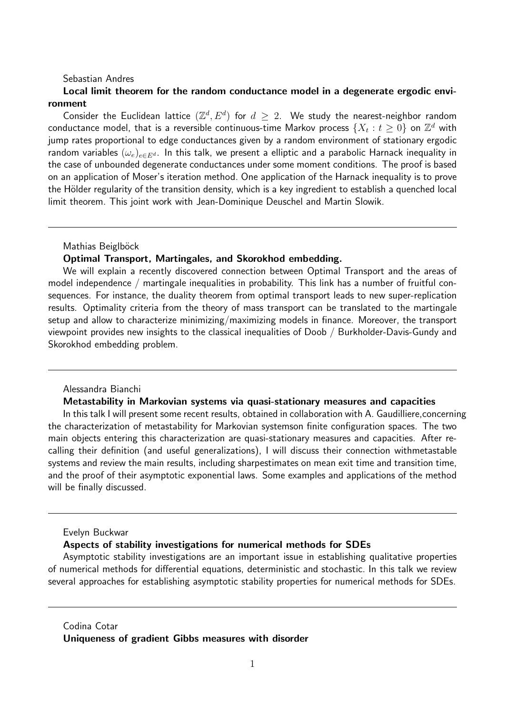# Sebastian Andres

# Local limit theorem for the random conductance model in a degenerate ergodic environment

Consider the Euclidean lattice  $(\mathbb{Z}^d, E^d)$  for  $d \geq 2$ . We study the nearest-neighbor random conductance model, that is a reversible continuous-time Markov process  $\{X_t : t \geq 0\}$  on  $\mathbb{Z}^d$  with jump rates proportional to edge conductances given by a random environment of stationary ergodic random variables  $(\omega_e)_{e \in E^d}$ . In this talk, we present a elliptic and a parabolic Harnack inequality in the case of unbounded degenerate conductances under some moment conditions. The proof is based on an application of Moser's iteration method. One application of the Harnack inequality is to prove the Hölder regularity of the transition density, which is a key ingredient to establish a quenched local limit theorem. This joint work with Jean-Dominique Deuschel and Martin Slowik.

Mathias Beiglböck

## Optimal Transport, Martingales, and Skorokhod embedding.

We will explain a recently discovered connection between Optimal Transport and the areas of model independence / martingale inequalities in probability. This link has a number of fruitful consequences. For instance, the duality theorem from optimal transport leads to new super-replication results. Optimality criteria from the theory of mass transport can be translated to the martingale setup and allow to characterize minimizing/maximizing models in finance. Moreover, the transport viewpoint provides new insights to the classical inequalities of Doob / Burkholder-Davis-Gundy and Skorokhod embedding problem.

# Alessandra Bianchi

## Metastability in Markovian systems via quasi-stationary measures and capacities

In this talk I will present some recent results, obtained in collaboration with A. Gaudilliere, concerning the characterization of metastability for Markovian systemson finite configuration spaces. The two main objects entering this characterization are quasi-stationary measures and capacities. After recalling their definition (and useful generalizations), I will discuss their connection withmetastable systems and review the main results, including sharpestimates on mean exit time and transition time, and the proof of their asymptotic exponential laws. Some examples and applications of the method will be finally discussed.

## Evelyn Buckwar

#### Aspects of stability investigations for numerical methods for SDEs

Asymptotic stability investigations are an important issue in establishing qualitative properties of numerical methods for differential equations, deterministic and stochastic. In this talk we review several approaches for establishing asymptotic stability properties for numerical methods for SDEs.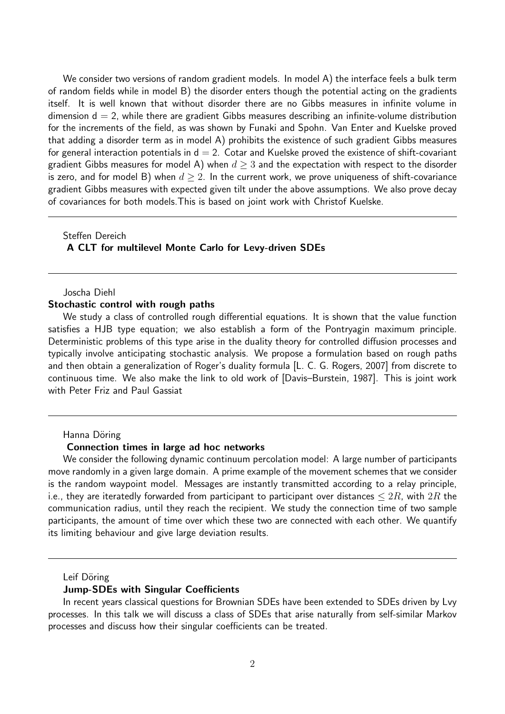We consider two versions of random gradient models. In model A) the interface feels a bulk term of random fields while in model B) the disorder enters though the potential acting on the gradients itself. It is well known that without disorder there are no Gibbs measures in infinite volume in dimension  $d = 2$ , while there are gradient Gibbs measures describing an infinite-volume distribution for the increments of the field, as was shown by Funaki and Spohn. Van Enter and Kuelske proved that adding a disorder term as in model A) prohibits the existence of such gradient Gibbs measures for general interaction potentials in  $d = 2$ . Cotar and Kuelske proved the existence of shift-covariant gradient Gibbs measures for model A) when  $d > 3$  and the expectation with respect to the disorder is zero, and for model B) when  $d \geq 2$ . In the current work, we prove uniqueness of shift-covariance gradient Gibbs measures with expected given tilt under the above assumptions. We also prove decay of covariances for both models.This is based on joint work with Christof Kuelske.

# Steffen Dereich A CLT for multilevel Monte Carlo for Levy-driven SDEs

# Joscha Diehl Stochastic control with rough paths

We study a class of controlled rough differential equations. It is shown that the value function satisfies a HJB type equation; we also establish a form of the Pontryagin maximum principle. Deterministic problems of this type arise in the duality theory for controlled diffusion processes and typically involve anticipating stochastic analysis. We propose a formulation based on rough paths and then obtain a generalization of Roger's duality formula [L. C. G. Rogers, 2007] from discrete to continuous time. We also make the link to old work of [Davis–Burstein, 1987]. This is joint work with Peter Friz and Paul Gassiat

### Hanna Döring

### Connection times in large ad hoc networks

We consider the following dynamic continuum percolation model: A large number of participants move randomly in a given large domain. A prime example of the movement schemes that we consider is the random waypoint model. Messages are instantly transmitted according to a relay principle, i.e., they are iteratedly forwarded from participant to participant over distances  $\leq 2R$ , with  $2R$  the communication radius, until they reach the recipient. We study the connection time of two sample participants, the amount of time over which these two are connected with each other. We quantify its limiting behaviour and give large deviation results.

### Leif Döring

## Jump-SDEs with Singular Coefficients

In recent years classical questions for Brownian SDEs have been extended to SDEs driven by Lvy processes. In this talk we will discuss a class of SDEs that arise naturally from self-similar Markov processes and discuss how their singular coefficients can be treated.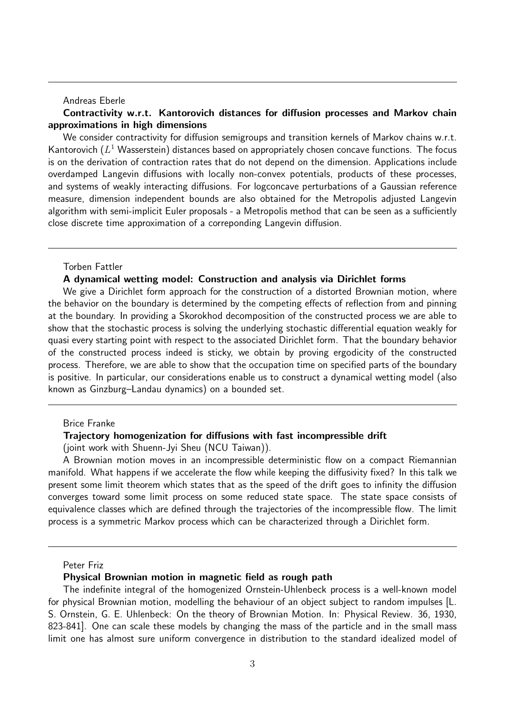## Andreas Eberle

# Contractivity w.r.t. Kantorovich distances for diffusion processes and Markov chain approximations in high dimensions

We consider contractivity for diffusion semigroups and transition kernels of Markov chains w.r.t. Kantorovich  $(L^1$  Wasserstein) distances based on appropriately chosen concave functions. The focus is on the derivation of contraction rates that do not depend on the dimension. Applications include overdamped Langevin diffusions with locally non-convex potentials, products of these processes, and systems of weakly interacting diffusions. For logconcave perturbations of a Gaussian reference measure, dimension independent bounds are also obtained for the Metropolis adjusted Langevin algorithm with semi-implicit Euler proposals - a Metropolis method that can be seen as a sufficiently close discrete time approximation of a correponding Langevin diffusion.

## Torben Fattler

## A dynamical wetting model: Construction and analysis via Dirichlet forms

We give a Dirichlet form approach for the construction of a distorted Brownian motion, where the behavior on the boundary is determined by the competing effects of reflection from and pinning at the boundary. In providing a Skorokhod decomposition of the constructed process we are able to show that the stochastic process is solving the underlying stochastic differential equation weakly for quasi every starting point with respect to the associated Dirichlet form. That the boundary behavior of the constructed process indeed is sticky, we obtain by proving ergodicity of the constructed process. Therefore, we are able to show that the occupation time on specified parts of the boundary is positive. In particular, our considerations enable us to construct a dynamical wetting model (also known as Ginzburg–Landau dynamics) on a bounded set.

## Brice Franke

#### Trajectory homogenization for diffusions with fast incompressible drift

(joint work with Shuenn-Jyi Sheu (NCU Taiwan)).

A Brownian motion moves in an incompressible deterministic flow on a compact Riemannian manifold. What happens if we accelerate the flow while keeping the diffusivity fixed? In this talk we present some limit theorem which states that as the speed of the drift goes to infinity the diffusion converges toward some limit process on some reduced state space. The state space consists of equivalence classes which are defined through the trajectories of the incompressible flow. The limit process is a symmetric Markov process which can be characterized through a Dirichlet form.

### Peter Friz

#### Physical Brownian motion in magnetic field as rough path

The indefinite integral of the homogenized Ornstein-Uhlenbeck process is a well-known model for physical Brownian motion, modelling the behaviour of an object subject to random impulses [L. S. Ornstein, G. E. Uhlenbeck: On the theory of Brownian Motion. In: Physical Review. 36, 1930, 823-841]. One can scale these models by changing the mass of the particle and in the small mass limit one has almost sure uniform convergence in distribution to the standard idealized model of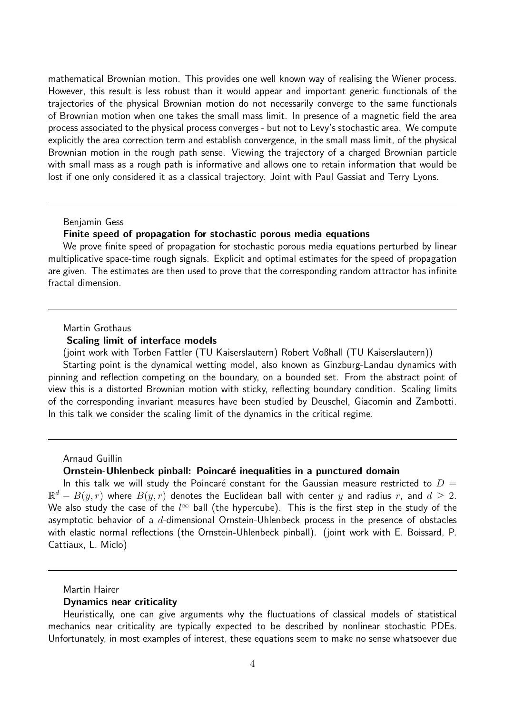mathematical Brownian motion. This provides one well known way of realising the Wiener process. However, this result is less robust than it would appear and important generic functionals of the trajectories of the physical Brownian motion do not necessarily converge to the same functionals of Brownian motion when one takes the small mass limit. In presence of a magnetic field the area process associated to the physical process converges - but not to Levy's stochastic area. We compute explicitly the area correction term and establish convergence, in the small mass limit, of the physical Brownian motion in the rough path sense. Viewing the trajectory of a charged Brownian particle with small mass as a rough path is informative and allows one to retain information that would be lost if one only considered it as a classical trajectory. Joint with Paul Gassiat and Terry Lyons.

## Benjamin Gess

## Finite speed of propagation for stochastic porous media equations

We prove finite speed of propagation for stochastic porous media equations perturbed by linear multiplicative space-time rough signals. Explicit and optimal estimates for the speed of propagation are given. The estimates are then used to prove that the corresponding random attractor has infinite fractal dimension.

### Martin Grothaus

## Scaling limit of interface models

(joint work with Torben Fattler (TU Kaiserslautern) Robert Voßhall (TU Kaiserslautern))

Starting point is the dynamical wetting model, also known as Ginzburg-Landau dynamics with pinning and reflection competing on the boundary, on a bounded set. From the abstract point of view this is a distorted Brownian motion with sticky, reflecting boundary condition. Scaling limits of the corresponding invariant measures have been studied by Deuschel, Giacomin and Zambotti. In this talk we consider the scaling limit of the dynamics in the critical regime.

#### Arnaud Guillin

### Ornstein-Uhlenbeck pinball: Poincaré inequalities in a punctured domain

In this talk we will study the Poincaré constant for the Gaussian measure restricted to  $D =$  $\mathbb{R}^d - B(y,r)$  where  $\overline{B(y,r)}$  denotes the Euclidean ball with center  $y$  and radius  $r$ , and  $d\,\geq\,2.$ We also study the case of the  $l^\infty$  ball (the hypercube). This is the first step in the study of the asymptotic behavior of a  $d$ -dimensional Ornstein-Uhlenbeck process in the presence of obstacles with elastic normal reflections (the Ornstein-Uhlenbeck pinball). (joint work with E. Boissard, P. Cattiaux, L. Miclo)

#### Dynamics near criticality

Heuristically, one can give arguments why the fluctuations of classical models of statistical mechanics near criticality are typically expected to be described by nonlinear stochastic PDEs. Unfortunately, in most examples of interest, these equations seem to make no sense whatsoever due

Martin Hairer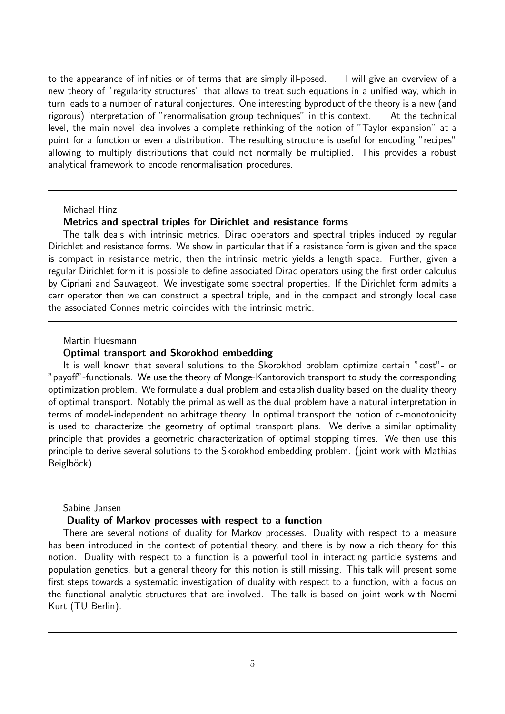to the appearance of infinities or of terms that are simply ill-posed. I will give an overview of a new theory of "regularity structures" that allows to treat such equations in a unified way, which in turn leads to a number of natural conjectures. One interesting byproduct of the theory is a new (and rigorous) interpretation of "renormalisation group techniques" in this context. At the technical level, the main novel idea involves a complete rethinking of the notion of "Taylor expansion" at a point for a function or even a distribution. The resulting structure is useful for encoding "recipes" allowing to multiply distributions that could not normally be multiplied. This provides a robust analytical framework to encode renormalisation procedures.

## Michael Hinz

# Metrics and spectral triples for Dirichlet and resistance forms

The talk deals with intrinsic metrics, Dirac operators and spectral triples induced by regular Dirichlet and resistance forms. We show in particular that if a resistance form is given and the space is compact in resistance metric, then the intrinsic metric yields a length space. Further, given a regular Dirichlet form it is possible to define associated Dirac operators using the first order calculus by Cipriani and Sauvageot. We investigate some spectral properties. If the Dirichlet form admits a carr operator then we can construct a spectral triple, and in the compact and strongly local case the associated Connes metric coincides with the intrinsic metric.

## Martin Huesmann

# Optimal transport and Skorokhod embedding

It is well known that several solutions to the Skorokhod problem optimize certain "cost"- or "payoff"-functionals. We use the theory of Monge-Kantorovich transport to study the corresponding optimization problem. We formulate a dual problem and establish duality based on the duality theory of optimal transport. Notably the primal as well as the dual problem have a natural interpretation in terms of model-independent no arbitrage theory. In optimal transport the notion of c-monotonicity is used to characterize the geometry of optimal transport plans. We derive a similar optimality principle that provides a geometric characterization of optimal stopping times. We then use this principle to derive several solutions to the Skorokhod embedding problem. (joint work with Mathias Beiglböck)

### Sabine Jansen

## Duality of Markov processes with respect to a function

There are several notions of duality for Markov processes. Duality with respect to a measure has been introduced in the context of potential theory, and there is by now a rich theory for this notion. Duality with respect to a function is a powerful tool in interacting particle systems and population genetics, but a general theory for this notion is still missing. This talk will present some first steps towards a systematic investigation of duality with respect to a function, with a focus on the functional analytic structures that are involved. The talk is based on joint work with Noemi Kurt (TU Berlin).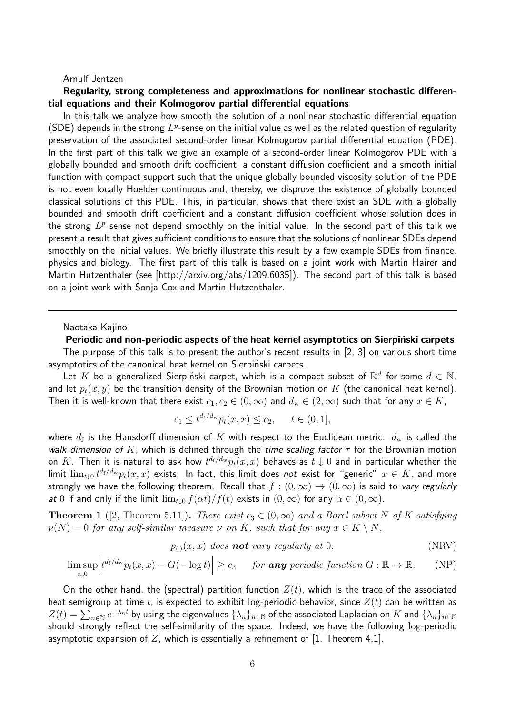# Arnulf Jentzen

# Regularity, strong completeness and approximations for nonlinear stochastic differential equations and their Kolmogorov partial differential equations

In this talk we analyze how smooth the solution of a nonlinear stochastic differential equation (SDE) depends in the strong  $L^p$ -sense on the initial value as well as the related question of regularity preservation of the associated second-order linear Kolmogorov partial differential equation (PDE). In the first part of this talk we give an example of a second-order linear Kolmogorov PDE with a globally bounded and smooth drift coefficient, a constant diffusion coefficient and a smooth initial function with compact support such that the unique globally bounded viscosity solution of the PDE is not even locally Hoelder continuous and, thereby, we disprove the existence of globally bounded classical solutions of this PDE. This, in particular, shows that there exist an SDE with a globally bounded and smooth drift coefficient and a constant diffusion coefficient whose solution does in the strong  $L^p$  sense not depend smoothly on the initial value. In the second part of this talk we present a result that gives sufficient conditions to ensure that the solutions of nonlinear SDEs depend smoothly on the initial values. We briefly illustrate this result by a few example SDEs from finance, physics and biology. The first part of this talk is based on a joint work with Martin Hairer and Martin Hutzenthaler (see [http://arxiv.org/abs/1209.6035]). The second part of this talk is based on a joint work with Sonja Cox and Martin Hutzenthaler.

### Naotaka Kajino

Periodic and non-periodic aspects of the heat kernel asymptotics on Sierpinski carpets The purpose of this talk is to present the author's recent results in [2, 3] on various short time asymptotics of the canonical heat kernel on Sierpiński carpets.

Let K be a generalized Sierpiński carpet, which is a compact subset of  $\mathbb{R}^d$  for some  $d \in \mathbb{N}$ , and let  $p_t(x, y)$  be the transition density of the Brownian motion on K (the canonical heat kernel). Then it is well-known that there exist  $c_1, c_2 \in (0, \infty)$  and  $d_w \in (2, \infty)$  such that for any  $x \in K$ ,

$$
c_1 \leq t^{d_f/d_w} p_t(x, x) \leq c_2, \quad t \in (0, 1],
$$

where  $d_{\rm f}$  is the Hausdorff dimension of  $K$  with respect to the Euclidean metric.  $d_{\rm w}$  is called the walk dimension of K, which is defined through the time scaling factor  $\tau$  for the Brownian motion on  $K.$  Then it is natural to ask how  $t^{d_{\rm f}/d_{\rm w}}p_t(x,x)$  behaves as  $t\downarrow 0$  and in particular whether the limit  $\lim_{t\downarrow 0}t^{d_{\rm f}/d_{\rm w}}p_t(x,x)$  exists. In fact, this limit does *not* exist for "generic"  $x\in K$ , and more strongly we have the following theorem. Recall that  $f : (0, \infty) \to (0, \infty)$  is said to vary regularly at 0 if and only if the limit  $\lim_{t\downarrow 0} f(\alpha t)/f(t)$  exists in  $(0,\infty)$  for any  $\alpha \in (0,\infty)$ .

**Theorem 1** ([2, Theorem 5.11]). There exist  $c_3 \in (0,\infty)$  and a Borel subset N of K satisfying  $\nu(N) = 0$  for any self-similar measure  $\nu$  on K, such that for any  $x \in K \setminus N$ ,

$$
p_{(\cdot)}(x,x) \text{ does } \textbf{not} \text{ vary regularly at } 0,
$$
 (NRV)

$$
\limsup_{t\downarrow 0} \left| t^{d_f/d_w} p_t(x,x) - G(-\log t) \right| \ge c_3 \quad \text{for any periodic function } G: \mathbb{R} \to \mathbb{R}. \tag{NP}
$$

On the other hand, the (spectral) partition function  $Z(t)$ , which is the trace of the associated heat semigroup at time t, is expected to exhibit log-periodic behavior, since  $Z(t)$  can be written as  $Z(t)=\sum_{n\in\mathbb{N}}e^{-\lambda_nt}$  by using the eigenvalues  $\{\lambda_n\}_{n\in\mathbb{N}}$  of the associated Laplacian on  $K$  and  $\{\lambda_n\}_{n\in\mathbb{N}}$ should strongly reflect the self-similarity of the space. Indeed, we have the following log-periodic asymptotic expansion of Z, which is essentially a refinement of  $[1,$  Theorem 4.1].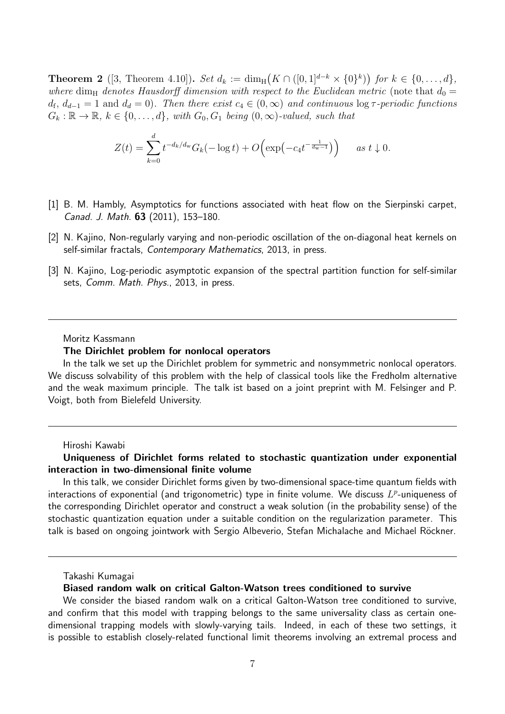**Theorem 2** ([3, Theorem 4.10]). Set  $d_k := \dim_H(K \cap ([0,1]^{d-k} \times \{0\}^k))$  for  $k \in \{0, \ldots, d\}$ , where dim<sub>H</sub> denotes Hausdorff dimension with respect to the Euclidean metric (note that  $d_0 =$  $d_{\rm f}$ ,  $d_{d-1} = 1$  and  $d_d = 0$ ). Then there exist  $c_4 \in (0, \infty)$  and continuous  $\log \tau$ -periodic functions  $G_k : \mathbb{R} \to \mathbb{R}, k \in \{0, \ldots, d\}, \text{ with } G_0, G_1 \text{ being } (0, \infty)\text{-valued}, \text{ such that }$ 

$$
Z(t) = \sum_{k=0}^{d} t^{-d_k/d_w} G_k(-\log t) + O\Big(\exp(-c_4 t^{-\frac{1}{d_w-1}})\Big) \quad \text{as } t \downarrow 0.
$$

- [1] B. M. Hambly, Asymptotics for functions associated with heat flow on the Sierpinski carpet, Canad. J. Math. 63 (2011), 153–180.
- [2] N. Kajino, Non-regularly varying and non-periodic oscillation of the on-diagonal heat kernels on self-similar fractals, Contemporary Mathematics, 2013, in press.
- [3] N. Kajino, Log-periodic asymptotic expansion of the spectral partition function for self-similar sets, Comm. Math. Phys., 2013, in press.

### Moritz Kassmann

### The Dirichlet problem for nonlocal operators

In the talk we set up the Dirichlet problem for symmetric and nonsymmetric nonlocal operators. We discuss solvability of this problem with the help of classical tools like the Fredholm alternative and the weak maximum principle. The talk ist based on a joint preprint with M. Felsinger and P. Voigt, both from Bielefeld University.

### Hiroshi Kawabi

# Uniqueness of Dirichlet forms related to stochastic quantization under exponential interaction in two-dimensional finite volume

In this talk, we consider Dirichlet forms given by two-dimensional space-time quantum fields with interactions of exponential (and trigonometric) type in finite volume. We discuss  $L^p$ -uniqueness of the corresponding Dirichlet operator and construct a weak solution (in the probability sense) of the stochastic quantization equation under a suitable condition on the regularization parameter. This talk is based on ongoing jointwork with Sergio Albeverio, Stefan Michalache and Michael Röckner.

Takashi Kumagai

# Biased random walk on critical Galton-Watson trees conditioned to survive

We consider the biased random walk on a critical Galton-Watson tree conditioned to survive, and confirm that this model with trapping belongs to the same universality class as certain onedimensional trapping models with slowly-varying tails. Indeed, in each of these two settings, it is possible to establish closely-related functional limit theorems involving an extremal process and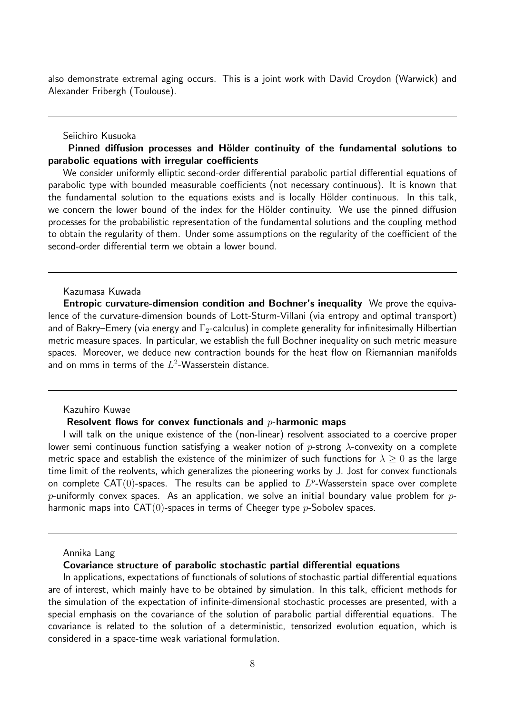also demonstrate extremal aging occurs. This is a joint work with David Croydon (Warwick) and Alexander Fribergh (Toulouse).

# Seiichiro Kusuoka

Pinned diffusion processes and Hölder continuity of the fundamental solutions to parabolic equations with irregular coefficients

We consider uniformly elliptic second-order differential parabolic partial differential equations of parabolic type with bounded measurable coefficients (not necessary continuous). It is known that the fundamental solution to the equations exists and is locally Hölder continuous. In this talk, we concern the lower bound of the index for the Hölder continuity. We use the pinned diffusion processes for the probabilistic representation of the fundamental solutions and the coupling method to obtain the regularity of them. Under some assumptions on the regularity of the coefficient of the second-order differential term we obtain a lower bound.

# Kazumasa Kuwada

Entropic curvature-dimension condition and Bochner's inequality We prove the equivalence of the curvature-dimension bounds of Lott-Sturm-Villani (via entropy and optimal transport) and of Bakry–Emery (via energy and  $\Gamma_2$ -calculus) in complete generality for infinitesimally Hilbertian metric measure spaces. In particular, we establish the full Bochner inequality on such metric measure spaces. Moreover, we deduce new contraction bounds for the heat flow on Riemannian manifolds and on mms in terms of the  $L^2\text{-}\mathsf{W}$ asserstein distance.

# Kazuhiro Kuwae

## Resolvent flows for convex functionals and  $p$ -harmonic maps

I will talk on the unique existence of the (non-linear) resolvent associated to a coercive proper lower semi continuous function satisfying a weaker notion of p-strong  $\lambda$ -convexity on a complete metric space and establish the existence of the minimizer of such functions for  $\lambda > 0$  as the large time limit of the reolvents, which generalizes the pioneering works by J. Jost for convex functionals on complete  $CAT(0)$ -spaces. The results can be applied to  $L^p$ -Wasserstein space over complete p-uniformly convex spaces. As an application, we solve an initial boundary value problem for  $p$ harmonic maps into  $CAT(0)$ -spaces in terms of Cheeger type  $p$ -Sobolev spaces.

### Annika Lang

## Covariance structure of parabolic stochastic partial differential equations

In applications, expectations of functionals of solutions of stochastic partial differential equations are of interest, which mainly have to be obtained by simulation. In this talk, efficient methods for the simulation of the expectation of infinite-dimensional stochastic processes are presented, with a special emphasis on the covariance of the solution of parabolic partial differential equations. The covariance is related to the solution of a deterministic, tensorized evolution equation, which is considered in a space-time weak variational formulation.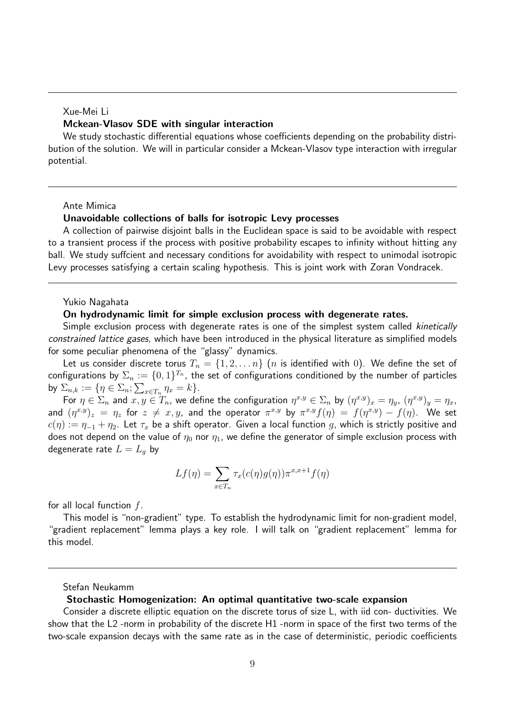# Xue-Mei Li Mckean-Vlasov SDE with singular interaction

We study stochastic differential equations whose coefficients depending on the probability distribution of the solution. We will in particular consider a Mckean-Vlasov type interaction with irregular potential.

### Ante Mimica

## Unavoidable collections of balls for isotropic Levy processes

A collection of pairwise disjoint balls in the Euclidean space is said to be avoidable with respect to a transient process if the process with positive probability escapes to infinity without hitting any ball. We study suffcient and necessary conditions for avoidability with respect to unimodal isotropic Levy processes satisfying a certain scaling hypothesis. This is joint work with Zoran Vondracek.

### Yukio Nagahata

## On hydrodynamic limit for simple exclusion process with degenerate rates.

Simple exclusion process with degenerate rates is one of the simplest system called kinetically constrained lattice gases, which have been introduced in the physical literature as simplified models for some peculiar phenomena of the "glassy" dynamics.

Let us consider discrete torus  $T_n = \{1, 2, \ldots n\}$  (*n* is identified with 0). We define the set of configurations by  $\Sigma_n:=\{0,1\}^{T_n}$ , the set of configurations conditioned by the number of particles by  $\Sigma_{n,k} := \{ \eta \in \Sigma_n; \sum_{x \in T_n} \eta_x = k \}.$ 

For  $\eta \in \Sigma_n$  and  $x, y \in T_n$ , we define the configuration  $\eta^{x,y} \in \Sigma_n$  by  $(\eta^{x,y})_x = \eta_y$ ,  $(\eta^{x,y})_y = \eta_x$ , and  $(\eta^{x,y})_z = \eta_z$  for  $z \neq x,y$ , and the operator  $\pi^{x,y}$  by  $\pi^{x,y}f(\eta) = f(\eta^{x,y}) - f(\eta)$ . We set  $c(\eta) := \eta_{-1} + \eta_2$ . Let  $\tau_x$  be a shift operator. Given a local function g, which is strictly positive and does not depend on the value of  $\eta_0$  nor  $\eta_1$ , we define the generator of simple exclusion process with degenerate rate  $L = L_a$  by

$$
Lf(\eta) = \sum_{x \in T_n} \tau_x(c(\eta)g(\eta))\pi^{x,x+1}f(\eta)
$$

for all local function  $f$ .

This model is "non-gradient" type. To establish the hydrodynamic limit for non-gradient model, "gradient replacement" lemma plays a key role. I will talk on "gradient replacement" lemma for this model.

#### Stefan Neukamm

#### Stochastic Homogenization: An optimal quantitative two-scale expansion

Consider a discrete elliptic equation on the discrete torus of size L, with iid con- ductivities. We show that the L2 -norm in probability of the discrete H1 -norm in space of the first two terms of the two-scale expansion decays with the same rate as in the case of deterministic, periodic coefficients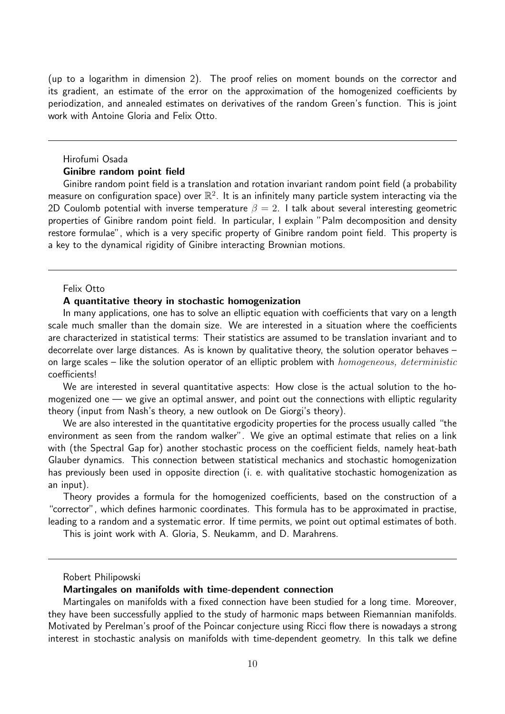(up to a logarithm in dimension 2). The proof relies on moment bounds on the corrector and its gradient, an estimate of the error on the approximation of the homogenized coefficients by periodization, and annealed estimates on derivatives of the random Green's function. This is joint work with Antoine Gloria and Felix Otto.

# Hirofumi Osada Ginibre random point field

Ginibre random point field is a translation and rotation invariant random point field (a probability measure on configuration space) over  $\mathbb{R}^2$ . It is an infinitely many particle system interacting via the 2D Coulomb potential with inverse temperature  $\beta = 2$ . I talk about several interesting geometric properties of Ginibre random point field. In particular, I explain "Palm decomposition and density restore formulae", which is a very specific property of Ginibre random point field. This property is a key to the dynamical rigidity of Ginibre interacting Brownian motions.

# Felix Otto

# A quantitative theory in stochastic homogenization

In many applications, one has to solve an elliptic equation with coefficients that vary on a length scale much smaller than the domain size. We are interested in a situation where the coefficients are characterized in statistical terms: Their statistics are assumed to be translation invariant and to decorrelate over large distances. As is known by qualitative theory, the solution operator behaves – on large scales – like the solution operator of an elliptic problem with  $homogeneous, deterministic$ coefficients!

We are interested in several quantitative aspects: How close is the actual solution to the homogenized one — we give an optimal answer, and point out the connections with elliptic regularity theory (input from Nash's theory, a new outlook on De Giorgi's theory).

We are also interested in the quantitative ergodicity properties for the process usually called "the environment as seen from the random walker". We give an optimal estimate that relies on a link with (the Spectral Gap for) another stochastic process on the coefficient fields, namely heat-bath Glauber dynamics. This connection between statistical mechanics and stochastic homogenization has previously been used in opposite direction (i. e. with qualitative stochastic homogenization as an input).

Theory provides a formula for the homogenized coefficients, based on the construction of a "corrector", which defines harmonic coordinates. This formula has to be approximated in practise, leading to a random and a systematic error. If time permits, we point out optimal estimates of both.

This is joint work with A. Gloria, S. Neukamm, and D. Marahrens.

#### Robert Philipowski

### Martingales on manifolds with time-dependent connection

Martingales on manifolds with a fixed connection have been studied for a long time. Moreover, they have been successfully applied to the study of harmonic maps between Riemannian manifolds. Motivated by Perelman's proof of the Poincar conjecture using Ricci flow there is nowadays a strong interest in stochastic analysis on manifolds with time-dependent geometry. In this talk we define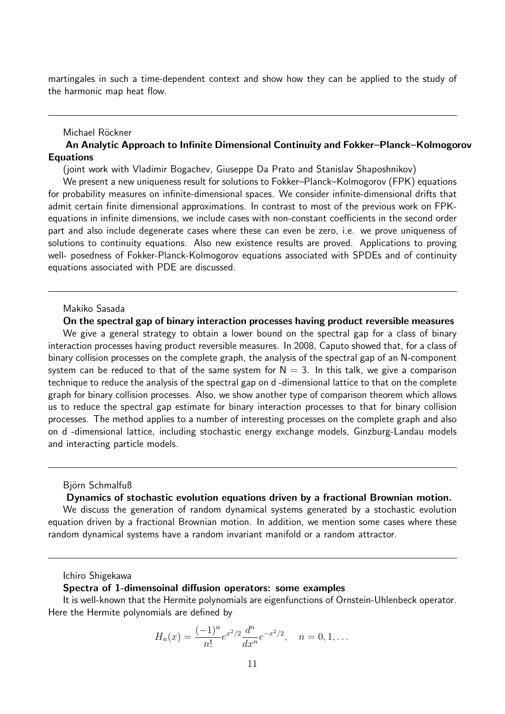martingales in such a time-dependent context and show how they can be applied to the study of the harmonic map heat flow.

#### Michael Röckner

# An Analytic Approach to Infinite Dimensional Continuity and Fokker–Planck–Kolmogorov **Equations**

(joint work with Vladimir Bogachev, Giuseppe Da Prato and Stanislav Shaposhnikov)

We present a new uniqueness result for solutions to Fokker–Planck–Kolmogorov (FPK) equations for probability measures on infinite-dimensional spaces. We consider infinite-dimensional drifts that admit certain finite dimensional approximations. In contrast to most of the previous work on FPKequations in infinite dimensions, we include cases with non-constant coefficients in the second order part and also include degenerate cases where these can even be zero, i.e. we prove uniqueness of solutions to continuity equations. Also new existence results are proved. Applications to proving well- posedness of Fokker-Planck-Kolmogorov equations associated with SPDEs and of continuity equations associated with PDE are discussed.

### Makiko Sasada

### On the spectral gap of binary interaction processes having product reversible measures

We give a general strategy to obtain a lower bound on the spectral gap for a class of binary interaction processes having product reversible measures. In 2008, Caputo showed that, for a class of binary collision processes on the complete graph, the analysis of the spectral gap of an N-component system can be reduced to that of the same system for  $N = 3$ . In this talk, we give a comparison technique to reduce the analysis of the spectral gap on d -dimensional lattice to that on the complete graph for binary collision processes. Also, we show another type of comparison theorem which allows us to reduce the spectral gap estimate for binary interaction processes to that for binary collision processes. The method applies to a number of interesting processes on the complete graph and also on d -dimensional lattice, including stochastic energy exchange models, Ginzburg-Landau models and interacting particle models.

#### Björn Schmalfuß

## Dynamics of stochastic evolution equations driven by a fractional Brownian motion.

We discuss the generation of random dynamical systems generated by a stochastic evolution equation driven by a fractional Brownian motion. In addition, we mention some cases where these random dynamical systems have a random invariant manifold or a random attractor.

#### Ichiro Shigekawa

## Spectra of 1-dimensoinal diffusion operators: some examples

It is well-known that the Hermite polynomials are eigenfunctions of Ornstein-Uhlenbeck operator. Here the Hermite polynomials are defined by

$$
H_n(x) = \frac{(-1)^n}{n!} e^{x^2/2} \frac{d^n}{dx^n} e^{-x^2/2}, \quad n = 0, 1, \dots
$$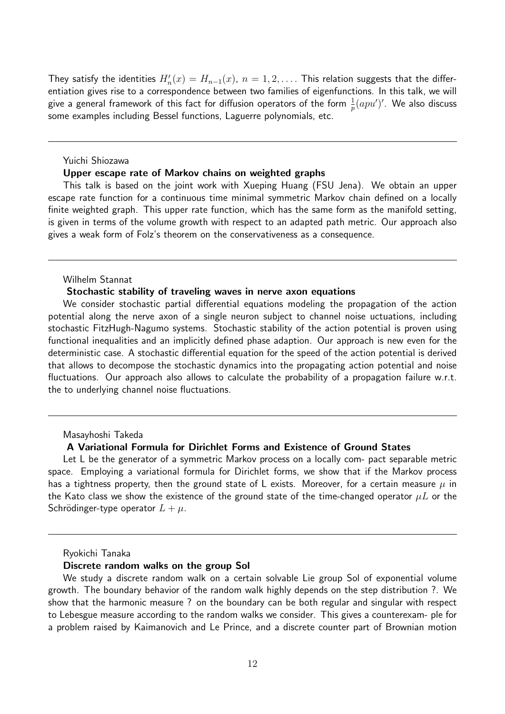They satisfy the identities  $H'_n(x) = H_{n-1}(x)$ ,  $n = 1, 2, \ldots$  . This relation suggests that the differentiation gives rise to a correspondence between two families of eigenfunctions. In this talk, we will give a general framework of this fact for diffusion operators of the form  $\frac{1}{p}(apu')'.$  We also discuss some examples including Bessel functions, Laguerre polynomials, etc.

Yuichi Shiozawa

### Upper escape rate of Markov chains on weighted graphs

This talk is based on the joint work with Xueping Huang (FSU Jena). We obtain an upper escape rate function for a continuous time minimal symmetric Markov chain defined on a locally finite weighted graph. This upper rate function, which has the same form as the manifold setting, is given in terms of the volume growth with respect to an adapted path metric. Our approach also gives a weak form of Folz's theorem on the conservativeness as a consequence.

# Wilhelm Stannat

# Stochastic stability of traveling waves in nerve axon equations

We consider stochastic partial differential equations modeling the propagation of the action potential along the nerve axon of a single neuron subject to channel noise uctuations, including stochastic FitzHugh-Nagumo systems. Stochastic stability of the action potential is proven using functional inequalities and an implicitly defined phase adaption. Our approach is new even for the deterministic case. A stochastic differential equation for the speed of the action potential is derived that allows to decompose the stochastic dynamics into the propagating action potential and noise fluctuations. Our approach also allows to calculate the probability of a propagation failure w.r.t. the to underlying channel noise fluctuations.

#### Masayhoshi Takeda

## A Variational Formula for Dirichlet Forms and Existence of Ground States

Let L be the generator of a symmetric Markov process on a locally com- pact separable metric space. Employing a variational formula for Dirichlet forms, we show that if the Markov process has a tightness property, then the ground state of L exists. Moreover, for a certain measure  $\mu$  in the Kato class we show the existence of the ground state of the time-changed operator  $\mu L$  or the Schrödinger-type operator  $L + \mu$ .

#### Ryokichi Tanaka

## Discrete random walks on the group Sol

We study a discrete random walk on a certain solvable Lie group Sol of exponential volume growth. The boundary behavior of the random walk highly depends on the step distribution ?. We show that the harmonic measure ? on the boundary can be both regular and singular with respect to Lebesgue measure according to the random walks we consider. This gives a counterexam- ple for a problem raised by Kaimanovich and Le Prince, and a discrete counter part of Brownian motion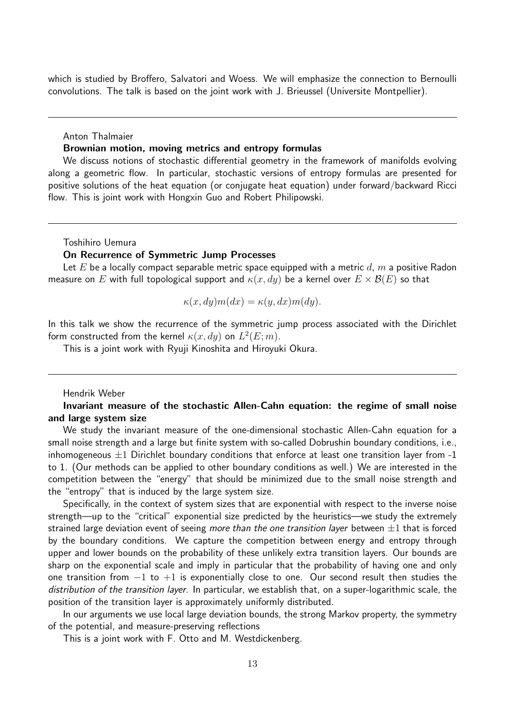which is studied by Broffero, Salvatori and Woess. We will emphasize the connection to Bernoulli convolutions. The talk is based on the joint work with J. Brieussel (Universite Montpellier).

Anton Thalmaier

## Brownian motion, moving metrics and entropy formulas

We discuss notions of stochastic differential geometry in the framework of manifolds evolving along a geometric flow. In particular, stochastic versions of entropy formulas are presented for positive solutions of the heat equation (or conjugate heat equation) under forward/backward Ricci flow. This is joint work with Hongxin Guo and Robert Philipowski.

Toshihiro Uemura

# On Recurrence of Symmetric Jump Processes

Let E be a locally compact separable metric space equipped with a metric  $d$ ,  $m$  a positive Radon measure on E with full topological support and  $\kappa(x, dy)$  be a kernel over  $E \times \mathcal{B}(E)$  so that

$$
\kappa(x, dy)m(dx) = \kappa(y, dx)m(dy).
$$

In this talk we show the recurrence of the symmetric jump process associated with the Dirichlet form constructed from the kernel  $\kappa(x,dy)$  on  $L^2(E;m).$ 

This is a joint work with Ryuji Kinoshita and Hiroyuki Okura.

## Hendrik Weber

Invariant measure of the stochastic Allen-Cahn equation: the regime of small noise and large system size

We study the invariant measure of the one-dimensional stochastic Allen-Cahn equation for a small noise strength and a large but finite system with so-called Dobrushin boundary conditions, i.e., inhomogeneous  $\pm 1$  Dirichlet boundary conditions that enforce at least one transition layer from -1 to 1. (Our methods can be applied to other boundary conditions as well.) We are interested in the competition between the "energy" that should be minimized due to the small noise strength and the "entropy" that is induced by the large system size.

Specifically, in the context of system sizes that are exponential with respect to the inverse noise strength—up to the "critical" exponential size predicted by the heuristics—we study the extremely strained large deviation event of seeing more than the one transition layer between  $\pm 1$  that is forced by the boundary conditions. We capture the competition between energy and entropy through upper and lower bounds on the probability of these unlikely extra transition layers. Our bounds are sharp on the exponential scale and imply in particular that the probability of having one and only one transition from  $-1$  to  $+1$  is exponentially close to one. Our second result then studies the distribution of the transition layer. In particular, we establish that, on a super-logarithmic scale, the position of the transition layer is approximately uniformly distributed.

In our arguments we use local large deviation bounds, the strong Markov property, the symmetry of the potential, and measure-preserving reflections

This is a joint work with F. Otto and M. Westdickenberg.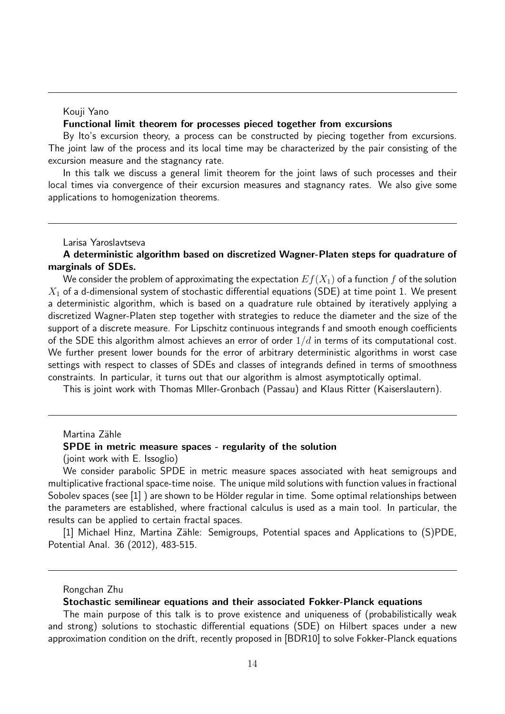### Kouji Yano

## Functional limit theorem for processes pieced together from excursions

By Ito's excursion theory, a process can be constructed by piecing together from excursions. The joint law of the process and its local time may be characterized by the pair consisting of the excursion measure and the stagnancy rate.

In this talk we discuss a general limit theorem for the joint laws of such processes and their local times via convergence of their excursion measures and stagnancy rates. We also give some applications to homogenization theorems.

Larisa Yaroslavtseva

# A deterministic algorithm based on discretized Wagner-Platen steps for quadrature of marginals of SDEs.

We consider the problem of approximating the expectation  $E f(X_1)$  of a function f of the solution  $X_1$  of a d-dimensional system of stochastic differential equations (SDE) at time point 1. We present a deterministic algorithm, which is based on a quadrature rule obtained by iteratively applying a discretized Wagner-Platen step together with strategies to reduce the diameter and the size of the support of a discrete measure. For Lipschitz continuous integrands f and smooth enough coefficients of the SDE this algorithm almost achieves an error of order  $1/d$  in terms of its computational cost. We further present lower bounds for the error of arbitrary deterministic algorithms in worst case settings with respect to classes of SDEs and classes of integrands defined in terms of smoothness constraints. In particular, it turns out that our algorithm is almost asymptotically optimal.

This is joint work with Thomas Mller-Gronbach (Passau) and Klaus Ritter (Kaiserslautern).

# Martina Zähle SPDE in metric measure spaces - regularity of the solution (joint work with E. Issoglio)

We consider parabolic SPDE in metric measure spaces associated with heat semigroups and multiplicative fractional space-time noise. The unique mild solutions with function values in fractional Sobolev spaces (see [1]) are shown to be Hölder regular in time. Some optimal relationships between the parameters are established, where fractional calculus is used as a main tool. In particular, the results can be applied to certain fractal spaces.

[1] Michael Hinz, Martina Zähle: Semigroups, Potential spaces and Applications to (S)PDE, Potential Anal. 36 (2012), 483-515.

### Stochastic semilinear equations and their associated Fokker-Planck equations

The main purpose of this talk is to prove existence and uniqueness of (probabilistically weak and strong) solutions to stochastic differential equations (SDE) on Hilbert spaces under a new approximation condition on the drift, recently proposed in [BDR10] to solve Fokker-Planck equations

Rongchan Zhu